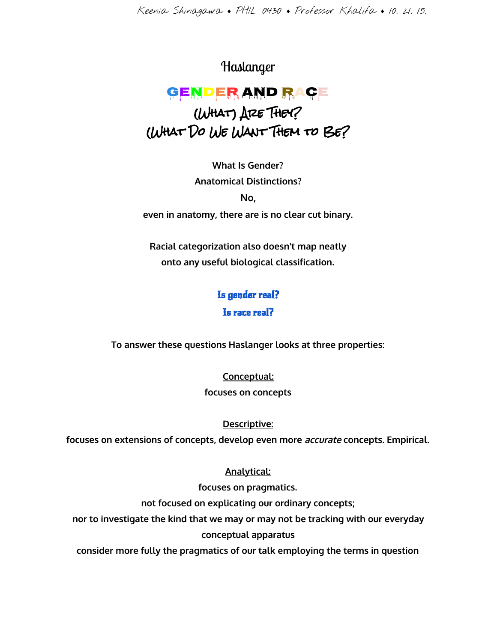Keenia Shinagawa ♦ PHIL 0430 ♦ Professor Khalifa ♦ 10. 21. 15.

## Haslanger

## Gender and Race (What) Are They? (What Do We Want Them to Be?

**What Is Gender? Anatomical Distinctions? No,**

**even in anatomy, there are is no clear cut binary.**

**Racial categorization also doesn't map neatly onto any useful biological classification.**

# Is gender real?

Is race real?

**To answer these questions Haslanger looks at three properties:**

**Conceptual:**

**focuses on concepts**

**Descriptive:**

**focuses on extensions of concepts, develop even more accurateconcepts. Empirical.**

### **Analytical:**

**focuses on pragmatics.**

**not focused on explicating our ordinary concepts;**

**nor to investigate the kind that we may or may not be tracking with our everyday conceptual apparatus**

**consider more fully the pragmatics of our talk employing the terms in question**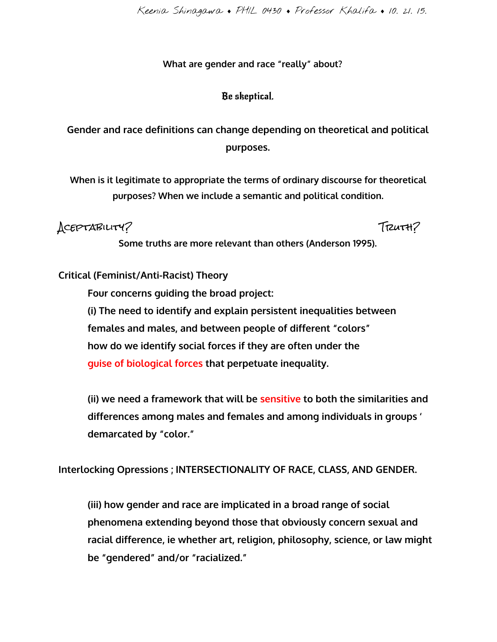Keenia Shinagawa ♦ PHIL 0430 ♦ Professor Khalifa ♦ 10. 21. 15.

#### **What are gender and race "really" about?**

#### Be skeptical.

**Gender and race definitions can change depending on theoretical and political purposes.**

**When is it legitimate to appropriate the terms of ordinary discourse for theoretical purposes? When we include a semantic and political condition.**

Aceptability? Truth?

**Some truths are more relevant than others (Anderson 1995).**

#### **Critical (Feminist/Anti-Racist) Theory**

**Four concerns guiding the broad project: (i) The need to identify and explain persistent inequalities between females and males, and between people of different "colors" how do we identify social forces if they are often under the guise of biological forces that perpetuate inequality.**

**(ii) we need a framework that will besensitiveto both the similarities and differences among males and females and among individuals in groups ' demarcated by "color."**

**Interlocking Opressions ; INTERSECTIONALITY OF RACE, CLASS, AND GENDER.**

**(iii) how gender and race are implicated in a broad range of social phenomena extending beyond those that obviously concern sexual and racial difference, ie whether art, religion, philosophy, science, or law might be "gendered" and/or "racialized."**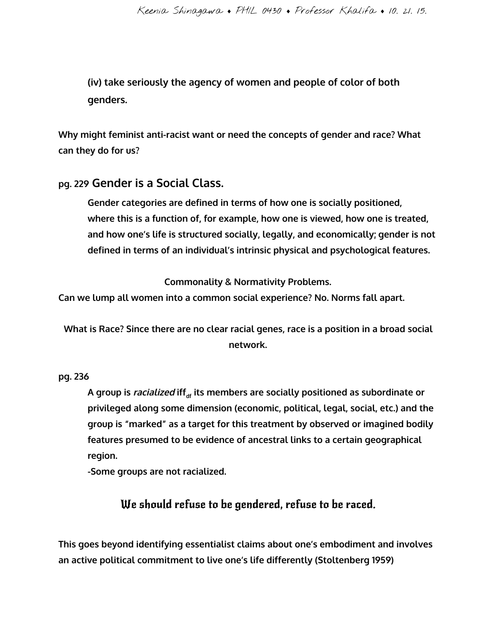**(iv) take seriously the agency of women and people of color of both genders.**

**Why might feminist anti-racist want or need the concepts of gender and race? What can they do for us?**

### **pg. <sup>229</sup>Gender is a Social Class.**

**Gender categories are defined in terms of how one is socially positioned, where this is a function of, for example, how one is viewed, how one is treated, and how one's life is structured socially, legally, and economically; gender is not defined in terms of an individual's intrinsic physical and psychological features.**

**Commonality & Normativity Problems.**

**Can we lump all women into a common social experience? No. Norms fall apart.**

**What is Race? Since there are no clear racial genes, race is a position in a broad social network.**

#### **pg. 236**

**A group is racialized iffdfits members are socially positioned as subordinate or privileged along some dimension (economic, political, legal, social, etc.) and the group is "marked" as a target for this treatment by observed or imagined bodily features presumed to be evidence of ancestral links to a certain geographical region.**

**-Some groups are not racialized.**

## We should refuse to be gendered, refuse to be raced.

**This goes beyond identifying essentialist claims about one's embodiment and involves an active political commitment to live one's life differently (Stoltenberg 1959)**